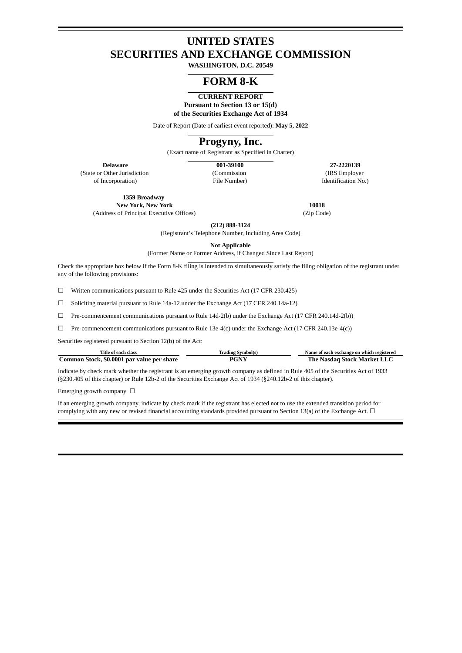# **UNITED STATES SECURITIES AND EXCHANGE COMMISSION**

**WASHINGTON, D.C. 20549**

# **FORM 8-K**

**CURRENT REPORT Pursuant to Section 13 or 15(d) of the Securities Exchange Act of 1934**

Date of Report (Date of earliest event reported): **May 5, 2022**

# **Progyny, Inc.**

(Exact name of Registrant as Specified in Charter)

(State or Other Jurisdiction of Incorporation)

(Commission File Number)

**Delaware 001-39100 27-2220139** (IRS Employer Identification No.)

**1359 Broadway New York, New York 10018**

(Address of Principal Executive Offices) (Zip Code)

**(212) 888-3124**

(Registrant's Telephone Number, Including Area Code)

**Not Applicable**

(Former Name or Former Address, if Changed Since Last Report)

Check the appropriate box below if the Form 8-K filing is intended to simultaneously satisfy the filing obligation of the registrant under any of the following provisions:

☐ Written communications pursuant to Rule 425 under the Securities Act (17 CFR 230.425)

☐ Soliciting material pursuant to Rule 14a-12 under the Exchange Act (17 CFR 240.14a-12)

☐ Pre-commencement communications pursuant to Rule 14d-2(b) under the Exchange Act (17 CFR 240.14d-2(b))

 $\square$  Pre-commencement communications pursuant to Rule 13e-4(c) under the Exchange Act (17 CFR 240.13e-4(c))

Securities registered pursuant to Section 12(b) of the Act:

| Title of each class                        | Trading Symbol(s) | Name of each exchange on which registered |
|--------------------------------------------|-------------------|-------------------------------------------|
| Common Stock, \$0.0001 par value per share | PGNY              | The Nasdaq Stock Market LLC               |

Indicate by check mark whether the registrant is an emerging growth company as defined in Rule 405 of the Securities Act of 1933 (§230.405 of this chapter) or Rule 12b-2 of the Securities Exchange Act of 1934 (§240.12b-2 of this chapter).

Emerging growth company  $\Box$ 

If an emerging growth company, indicate by check mark if the registrant has elected not to use the extended transition period for complying with any new or revised financial accounting standards provided pursuant to Section 13(a) of the Exchange Act.  $\Box$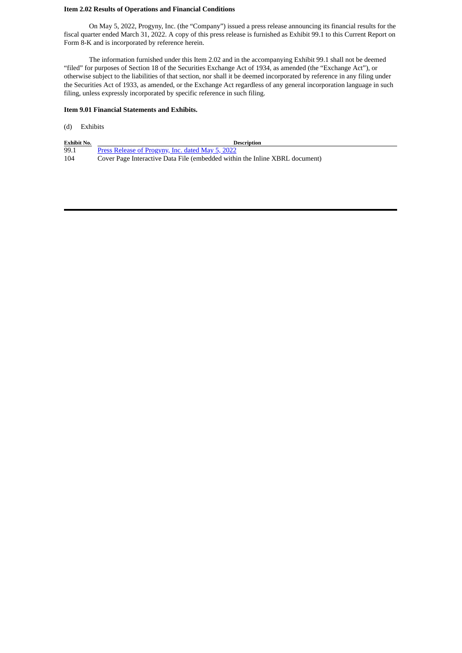#### **Item 2.02 Results of Operations and Financial Conditions**

On May 5, 2022, Progyny, Inc. (the "Company") issued a press release announcing its financial results for the fiscal quarter ended March 31, 2022. A copy of this press release is furnished as Exhibit 99.1 to this Current Report on Form 8-K and is incorporated by reference herein.

The information furnished under this Item 2.02 and in the accompanying Exhibit 99.1 shall not be deemed "filed" for purposes of Section 18 of the Securities Exchange Act of 1934, as amended (the "Exchange Act"), or otherwise subject to the liabilities of that section, nor shall it be deemed incorporated by reference in any filing under the Securities Act of 1933, as amended, or the Exchange Act regardless of any general incorporation language in such filing, unless expressly incorporated by specific reference in such filing.

#### **Item 9.01 Financial Statements and Exhibits.**

| (d) | Exhibits |
|-----|----------|
|-----|----------|

| <b>Exhibit No.</b> | <b>Description</b>                                                          |
|--------------------|-----------------------------------------------------------------------------|
| 99.1               | <u>Press Release of Progyny, Inc. dated May 5, 2022</u>                     |
| 104                | Cover Page Interactive Data File (embedded within the Inline XBRL document) |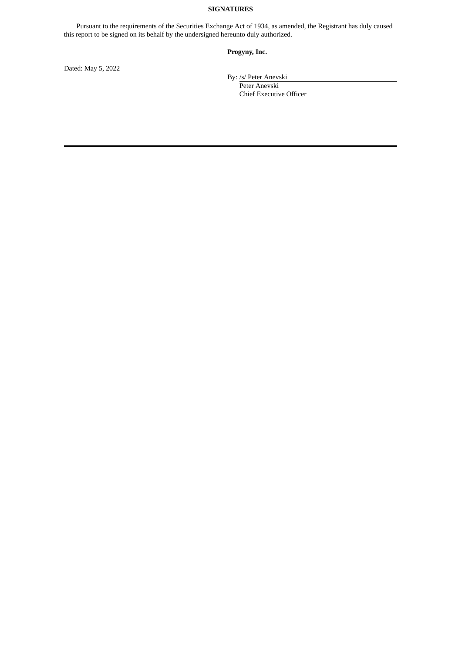### **SIGNATURES**

Pursuant to the requirements of the Securities Exchange Act of 1934, as amended, the Registrant has duly caused this report to be signed on its behalf by the undersigned hereunto duly authorized.

### **Progyny, Inc.**

Dated: May 5, 2022

By: /s/ Peter Anevski

Peter Anevski Chief Executive Officer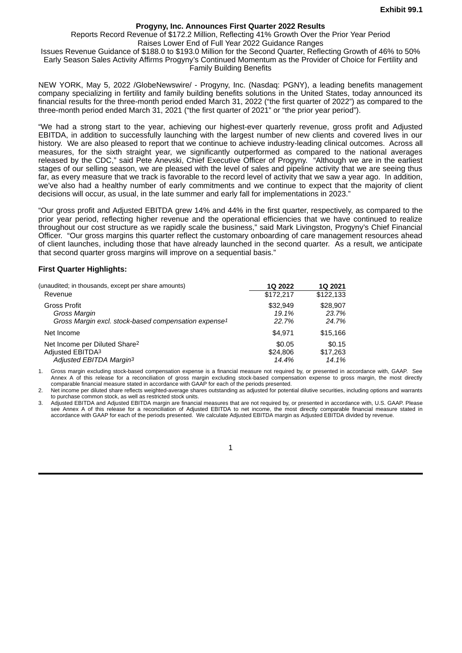### **Progyny, Inc. Announces First Quarter 2022 Results**

Reports Record Revenue of \$172.2 Million, Reflecting 41% Growth Over the Prior Year Period

Raises Lower End of Full Year 2022 Guidance Ranges

<span id="page-3-0"></span>Issues Revenue Guidance of \$188.0 to \$193.0 Million for the Second Quarter, Reflecting Growth of 46% to 50% Early Season Sales Activity Affirms Progyny's Continued Momentum as the Provider of Choice for Fertility and Family Building Benefits

NEW YORK, May 5, 2022 /GlobeNewswire/ - Progyny, Inc. (Nasdaq: PGNY), a leading benefits management company specializing in fertility and family building benefits solutions in the United States, today announced its financial results for the three-month period ended March 31, 2022 ("the first quarter of 2022") as compared to the three-month period ended March 31, 2021 ("the first quarter of 2021" or "the prior year period").

"We had a strong start to the year, achieving our highest-ever quarterly revenue, gross profit and Adjusted EBITDA, in addition to successfully launching with the largest number of new clients and covered lives in our history. We are also pleased to report that we continue to achieve industry-leading clinical outcomes. Across all measures, for the sixth straight year, we significantly outperformed as compared to the national averages released by the CDC," said Pete Anevski, Chief Executive Officer of Progyny. "Although we are in the earliest stages of our selling season, we are pleased with the level of sales and pipeline activity that we are seeing thus far, as every measure that we track is favorable to the record level of activity that we saw a year ago. In addition, we've also had a healthy number of early commitments and we continue to expect that the majority of client decisions will occur, as usual, in the late summer and early fall for implementations in 2023."

"Our gross profit and Adjusted EBITDA grew 14% and 44% in the first quarter, respectively, as compared to the prior year period, reflecting higher revenue and the operational efficiencies that we have continued to realize throughout our cost structure as we rapidly scale the business," said Mark Livingston, Progyny's Chief Financial Officer. "Our gross margins this quarter reflect the customary onboarding of care management resources ahead of client launches, including those that have already launched in the second quarter. As a result, we anticipate that second quarter gross margins will improve on a sequential basis."

#### **First Quarter Highlights:**

| (unaudited; in thousands, except per share amounts)              | 10 2022   | 10 2021   |
|------------------------------------------------------------------|-----------|-----------|
| Revenue                                                          | \$172.217 | \$122,133 |
| <b>Gross Profit</b>                                              | \$32.949  | \$28,907  |
| Gross Margin                                                     | 19.1%     | 23.7%     |
| Gross Margin excl. stock-based compensation expense <sup>1</sup> | 22.7%     | 24.7%     |
| Net Income                                                       | \$4.971   | \$15,166  |
| Net Income per Diluted Share <sup>2</sup>                        | \$0.05    | \$0.15    |
| Adjusted EBITDA <sup>3</sup>                                     | \$24,806  | \$17,263  |
| Adjusted EBITDA Margin <sup>3</sup>                              | 14.4%     | 14.1%     |

1. Gross margin excluding stock-based compensation expense is a financial measure not required by, or presented in accordance with, GAAP. See Annex A of this release for a reconciliation of gross margin excluding stock-based compensation expense to gross margin, the most directly comparable financial measure stated in accordance with GAAP for each of the periods presented.

2. Net income per diluted share reflects weighted-average shares outstanding as adjusted for potential dilutive securities, including options and warrants to purchase common stock, as well as restricted stock units.

3. Adjusted EBITDA and Adjusted EBITDA margin are financial measures that are not required by, or presented in accordance with, U.S. GAAP. Please see Annex A of this release for a reconciliation of Adjusted EBITDA to net income, the most directly comparable financial measure stated in accordance with GAAP for each of the periods presented. We calculate Adjusted EBITDA margin as Adjusted EBITDA divided by revenue.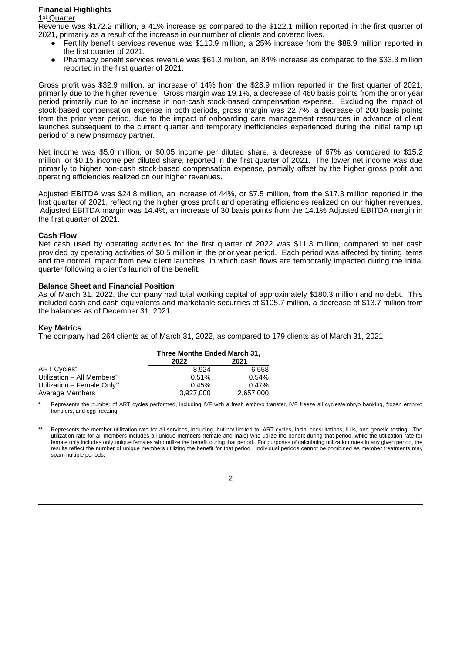### **Financial Highlights**

#### 1st Quarter

Revenue was \$172.2 million, a 41% increase as compared to the \$122.1 million reported in the first quarter of 2021, primarily as a result of the increase in our number of clients and covered lives.

- Fertility benefit services revenue was \$110.9 million, a 25% increase from the \$88.9 million reported in the first quarter of 2021.
- Pharmacy benefit services revenue was \$61.3 million, an 84% increase as compared to the \$33.3 million reported in the first quarter of 2021.

Gross profit was \$32.9 million, an increase of 14% from the \$28.9 million reported in the first quarter of 2021, primarily due to the higher revenue. Gross margin was 19.1%, a decrease of 460 basis points from the prior year period primarily due to an increase in non-cash stock-based compensation expense. Excluding the impact of stock-based compensation expense in both periods, gross margin was 22.7%, a decrease of 200 basis points from the prior year period, due to the impact of onboarding care management resources in advance of client launches subsequent to the current quarter and temporary inefficiencies experienced during the initial ramp up period of a new pharmacy partner.

Net income was \$5.0 million, or \$0.05 income per diluted share, a decrease of 67% as compared to \$15.2 million, or \$0.15 income per diluted share, reported in the first quarter of 2021. The lower net income was due primarily to higher non-cash stock-based compensation expense, partially offset by the higher gross profit and operating efficiencies realized on our higher revenues.

Adjusted EBITDA was \$24.8 million, an increase of 44%, or \$7.5 million, from the \$17.3 million reported in the first quarter of 2021, reflecting the higher gross profit and operating efficiencies realized on our higher revenues. Adjusted EBITDA margin was 14.4%, an increase of 30 basis points from the 14.1% Adjusted EBITDA margin in the first quarter of 2021.

#### **Cash Flow**

Net cash used by operating activities for the first quarter of 2022 was \$11.3 million, compared to net cash provided by operating activities of \$0.5 million in the prior year period. Each period was affected by timing items and the normal impact from new client launches, in which cash flows are temporarily impacted during the initial quarter following a client's launch of the benefit.

### **Balance Sheet and Financial Position**

As of March 31, 2022, the company had total working capital of approximately \$180.3 million and no debt. This included cash and cash equivalents and marketable securities of \$105.7 million, a decrease of \$13.7 million from the balances as of December 31, 2021.

#### **Key Metrics**

The company had 264 clients as of March 31, 2022, as compared to 179 clients as of March 31, 2021.

|                             | Three Months Ended March 31, |           |  |  |  |
|-----------------------------|------------------------------|-----------|--|--|--|
|                             | 2021<br>2022                 |           |  |  |  |
| ART Cycles*                 | 8.924                        | 6.558     |  |  |  |
| Utilization - All Members** | 0.51%                        | 0.54%     |  |  |  |
| Utilization - Female Only** | 0.45%                        | 0.47%     |  |  |  |
| Average Members             | 3.927.000                    | 2.657.000 |  |  |  |

Represents the number of ART cycles performed, including IVF with a fresh embryo transfer, IVF freeze all cycles/embryo banking, frozen embryo transfers, and egg freezing.

Represents the member utilization rate for all services, including, but not limited to, ART cycles, initial consultations, IUIs, and genetic testing. The utilization rate for all members includes all unique members (female and male) who utilize the benefit during that period, while the utilization rate for female only includes only unique females who utilize the benefit during that period. For purposes of calculating utilization rates in any given period, the results reflect the number of unique members utilizing the benefit for that period. Individual periods cannot be combined as member treatments may span multiple periods.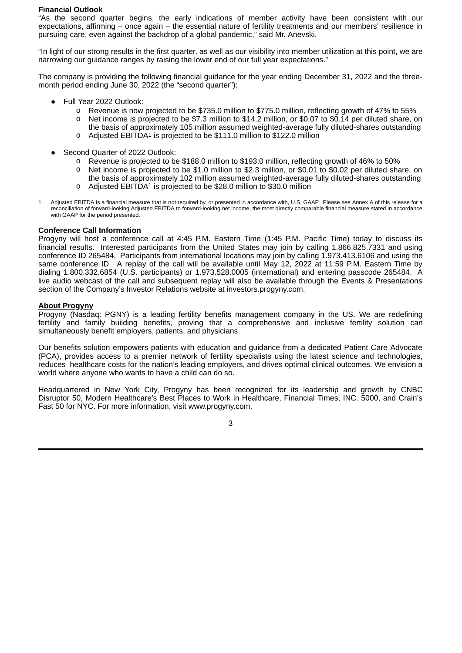### **Financial Outlook**

"As the second quarter begins, the early indications of member activity have been consistent with our expectations, affirming – once again – the essential nature of fertility treatments and our members' resilience in pursuing care, even against the backdrop of a global pandemic," said Mr. Anevski.

"In light of our strong results in the first quarter, as well as our visibility into member utilization at this point, we are narrowing our guidance ranges by raising the lower end of our full year expectations."

The company is providing the following financial guidance for the year ending December 31, 2022 and the threemonth period ending June 30, 2022 (the "second quarter"):

- Full Year 2022 Outlook:
	- o Revenue is now projected to be \$735.0 million to \$775.0 million, reflecting growth of 47% to 55%
	- o Net income is projected to be \$7.3 million to \$14.2 million, or \$0.07 to \$0.14 per diluted share, on the basis of approximately 105 million assumed weighted-average fully diluted-shares outstanding o Adjusted EBITDA1 is projected to be \$111.0 million to \$122.0 million
	-
- Second Quarter of 2022 Outlook:
	- o Revenue is projected to be \$188.0 million to \$193.0 million, reflecting growth of 46% to 50%
	- Net income is projected to be \$1.0 million to \$2.3 million, or \$0.01 to \$0.02 per diluted share, on the basis of approximately 102 million assumed weighted-average fully diluted-shares outstanding
	- o Adjusted EBITDA1 is projected to be \$28.0 million to \$30.0 million
- 1. Adjusted EBITDA is a financial measure that is not required by, or presented in accordance with, U.S. GAAP. Please see Annex A of this release for a reconciliation of forward-looking Adjusted EBITDA to forward-looking net income, the most directly comparable financial measure stated in accordance with GAAP for the period presented.

### **Conference Call Information**

Progyny will host a conference call at 4:45 P.M. Eastern Time (1:45 P.M. Pacific Time) today to discuss its financial results. Interested participants from the United States may join by calling 1.866.825.7331 and using conference ID 265484. Participants from international locations may join by calling 1.973.413.6106 and using the same conference ID. A replay of the call will be available until May 12, 2022 at 11:59 P.M. Eastern Time by dialing 1.800.332.6854 (U.S. participants) or 1.973.528.0005 (international) and entering passcode 265484. A live audio webcast of the call and subsequent replay will also be available through the Events & Presentations section of the Company's Investor Relations website at investors.progyny.com.

### **About Progyny**

Progyny (Nasdaq: PGNY) is a leading fertility benefits management company in the US. We are redefining fertility and family building benefits, proving that a comprehensive and inclusive fertility solution can simultaneously benefit employers, patients, and physicians.

Our benefits solution empowers patients with education and guidance from a dedicated Patient Care Advocate (PCA), provides access to a premier network of fertility specialists using the latest science and technologies, reduces healthcare costs for the nation's leading employers, and drives optimal clinical outcomes. We envision a world where anyone who wants to have a child can do so.

Headquartered in New York City, Progyny has been recognized for its leadership and growth by CNBC Disruptor 50, Modern Healthcare's Best Places to Work in Healthcare, Financial Times, INC. 5000, and Crain's Fast 50 for NYC. For more information, visit www.progyny.com.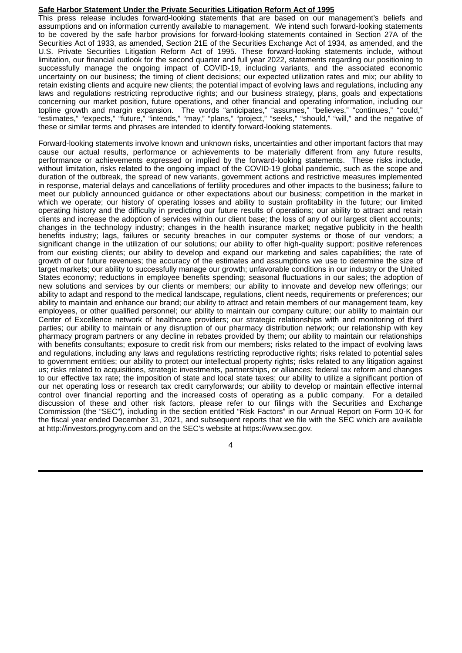### **Safe Harbor Statement Under the Private Securities Litigation Reform Act of 1995**

This press release includes forward-looking statements that are based on our management's beliefs and assumptions and on information currently available to management. We intend such forward-looking statements to be covered by the safe harbor provisions for forward-looking statements contained in Section 27A of the Securities Act of 1933, as amended, Section 21E of the Securities Exchange Act of 1934, as amended, and the U.S. Private Securities Litigation Reform Act of 1995. These forward-looking statements include, without limitation, our financial outlook for the second quarter and full year 2022, statements regarding our positioning to successfully manage the ongoing impact of COVID-19, including variants, and the associated economic uncertainty on our business; the timing of client decisions; our expected utilization rates and mix; our ability to retain existing clients and acquire new clients; the potential impact of evolving laws and regulations, including any laws and regulations restricting reproductive rights; and our business strategy, plans, goals and expectations concerning our market position, future operations, and other financial and operating information, including our topline growth and margin expansion. The words "anticipates," "assumes," "believes," "continues," "could," "estimates," "expects," "future," "intends," "may," "plans," "project," "seeks," "should," "will," and the negative of these or similar terms and phrases are intended to identify forward-looking statements.

Forward-looking statements involve known and unknown risks, uncertainties and other important factors that may cause our actual results, performance or achievements to be materially different from any future results, performance or achievements expressed or implied by the forward-looking statements. These risks include, without limitation, risks related to the ongoing impact of the COVID-19 global pandemic, such as the scope and duration of the outbreak, the spread of new variants, government actions and restrictive measures implemented in response, material delays and cancellations of fertility procedures and other impacts to the business; failure to meet our publicly announced guidance or other expectations about our business; competition in the market in which we operate; our history of operating losses and ability to sustain profitability in the future; our limited operating history and the difficulty in predicting our future results of operations; our ability to attract and retain clients and increase the adoption of services within our client base; the loss of any of our largest client accounts; changes in the technology industry; changes in the health insurance market; negative publicity in the health benefits industry; lags, failures or security breaches in our computer systems or those of our vendors; a significant change in the utilization of our solutions; our ability to offer high-quality support; positive references from our existing clients; our ability to develop and expand our marketing and sales capabilities; the rate of growth of our future revenues; the accuracy of the estimates and assumptions we use to determine the size of target markets; our ability to successfully manage our growth; unfavorable conditions in our industry or the United States economy; reductions in employee benefits spending; seasonal fluctuations in our sales; the adoption of new solutions and services by our clients or members; our ability to innovate and develop new offerings; our ability to adapt and respond to the medical landscape, regulations, client needs, requirements or preferences; our ability to maintain and enhance our brand; our ability to attract and retain members of our management team, key employees, or other qualified personnel; our ability to maintain our company culture; our ability to maintain our Center of Excellence network of healthcare providers; our strategic relationships with and monitoring of third parties; our ability to maintain or any disruption of our pharmacy distribution network; our relationship with key pharmacy program partners or any decline in rebates provided by them; our ability to maintain our relationships with benefits consultants; exposure to credit risk from our members; risks related to the impact of evolving laws and regulations, including any laws and regulations restricting reproductive rights; risks related to potential sales to government entities; our ability to protect our intellectual property rights; risks related to any litigation against us; risks related to acquisitions, strategic investments, partnerships, or alliances; federal tax reform and changes to our effective tax rate; the imposition of state and local state taxes; our ability to utilize a significant portion of our net operating loss or research tax credit carryforwards; our ability to develop or maintain effective internal control over financial reporting and the increased costs of operating as a public company. For a detailed discussion of these and other risk factors, please refer to our filings with the Securities and Exchange Commission (the "SEC"), including in the section entitled "Risk Factors" in our Annual Report on Form 10-K for the fiscal year ended December 31, 2021, and subsequent reports that we file with the SEC which are available at http://investors.progyny.com and on the SEC's website at https://www.sec.gov.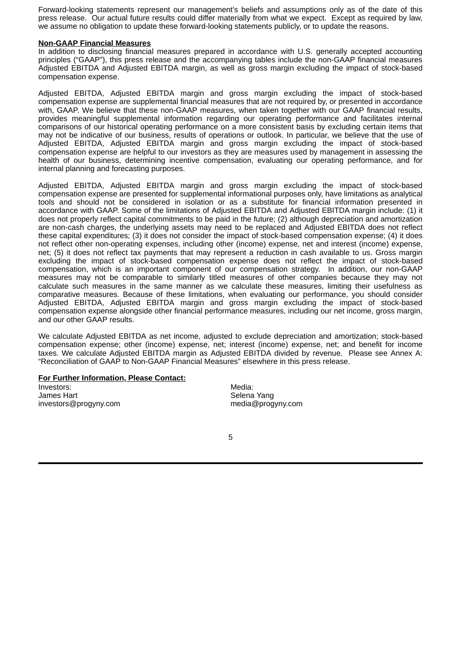Forward-looking statements represent our management's beliefs and assumptions only as of the date of this press release. Our actual future results could differ materially from what we expect. Except as required by law, we assume no obligation to update these forward-looking statements publicly, or to update the reasons.

#### **Non-GAAP Financial Measures**

In addition to disclosing financial measures prepared in accordance with U.S. generally accepted accounting principles ("GAAP"), this press release and the accompanying tables include the non-GAAP financial measures Adjusted EBITDA and Adjusted EBITDA margin, as well as gross margin excluding the impact of stock-based compensation expense.

Adjusted EBITDA, Adjusted EBITDA margin and gross margin excluding the impact of stock-based compensation expense are supplemental financial measures that are not required by, or presented in accordance with, GAAP. We believe that these non-GAAP measures, when taken together with our GAAP financial results, provides meaningful supplemental information regarding our operating performance and facilitates internal comparisons of our historical operating performance on a more consistent basis by excluding certain items that may not be indicative of our business, results of operations or outlook. In particular, we believe that the use of Adjusted EBITDA, Adjusted EBITDA margin and gross margin excluding the impact of stock-based compensation expense are helpful to our investors as they are measures used by management in assessing the health of our business, determining incentive compensation, evaluating our operating performance, and for internal planning and forecasting purposes.

Adjusted EBITDA, Adjusted EBITDA margin and gross margin excluding the impact of stock-based compensation expense are presented for supplemental informational purposes only, have limitations as analytical tools and should not be considered in isolation or as a substitute for financial information presented in accordance with GAAP. Some of the limitations of Adjusted EBITDA and Adjusted EBITDA margin include: (1) it does not properly reflect capital commitments to be paid in the future; (2) although depreciation and amortization are non-cash charges, the underlying assets may need to be replaced and Adjusted EBITDA does not reflect these capital expenditures; (3) it does not consider the impact of stock-based compensation expense; (4) it does not reflect other non-operating expenses, including other (income) expense, net and interest (income) expense, net; (5) it does not reflect tax payments that may represent a reduction in cash available to us. Gross margin excluding the impact of stock-based compensation expense does not reflect the impact of stock-based compensation, which is an important component of our compensation strategy. In addition, our non-GAAP measures may not be comparable to similarly titled measures of other companies because they may not calculate such measures in the same manner as we calculate these measures, limiting their usefulness as comparative measures. Because of these limitations, when evaluating our performance, you should consider Adjusted EBITDA, Adjusted EBITDA margin and gross margin excluding the impact of stock-based compensation expense alongside other financial performance measures, including our net income, gross margin, and our other GAAP results.

We calculate Adjusted EBITDA as net income, adjusted to exclude depreciation and amortization; stock-based compensation expense; other (income) expense, net; interest (income) expense, net; and benefit for income taxes. We calculate Adjusted EBITDA margin as Adjusted EBITDA divided by revenue. Please see Annex A: "Reconciliation of GAAP to Non-GAAP Financial Measures" elsewhere in this press release.

#### **For Further Information, Please Contact:**

Investors: Media: No. 1999. Media: New York: New York: New York: New York: New York: New York: New York: New York: New York: New York: New York: New York: New York: New York: New York: New York: New York: New York: New Yor James Hart **Selena Yang** investors@progyny.com media@progyny.com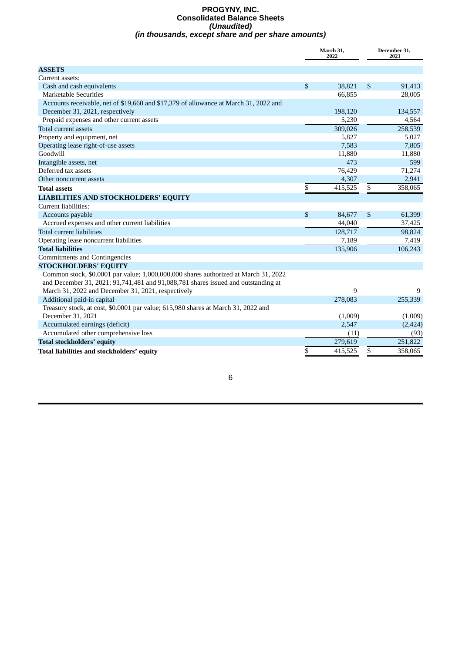#### **PROGYNY, INC. Consolidated Balance Sheets** *(Unaudited) (in thousands, except share and per share amounts)*

|                                                                                      | March 31,<br>2022 |         | December 31,<br>2021 |
|--------------------------------------------------------------------------------------|-------------------|---------|----------------------|
| <b>ASSETS</b>                                                                        |                   |         |                      |
| Current assets:                                                                      |                   |         |                      |
| Cash and cash equivalents                                                            | \$                | 38,821  | \$<br>91,413         |
| Marketable Securities                                                                |                   | 66,855  | 28,005               |
| Accounts receivable, net of \$19,660 and \$17,379 of allowance at March 31, 2022 and |                   |         |                      |
| December 31, 2021, respectively                                                      |                   | 198,120 | 134,557              |
| Prepaid expenses and other current assets                                            |                   | 5,230   | 4,564                |
| Total current assets                                                                 |                   | 309,026 | 258,539              |
| Property and equipment, net                                                          |                   | 5,827   | 5,027                |
| Operating lease right-of-use assets                                                  |                   | 7,583   | 7,805                |
| Goodwill                                                                             |                   | 11,880  | 11,880               |
| Intangible assets, net                                                               |                   | 473     | 599                  |
| Deferred tax assets                                                                  |                   | 76,429  | 71,274               |
| Other noncurrent assets                                                              |                   | 4,307   | 2,941                |
| <b>Total assets</b>                                                                  | \$                | 415,525 | \$<br>358,065        |
| <b>LIABILITIES AND STOCKHOLDERS' EQUITY</b>                                          |                   |         |                      |
| Current liabilities:                                                                 |                   |         |                      |
| Accounts payable                                                                     | \$                | 84,677  | \$<br>61,399         |
| Accrued expenses and other current liabilities                                       |                   | 44,040  | 37,425               |
| <b>Total current liabilities</b>                                                     |                   | 128,717 | 98,824               |
| Operating lease noncurrent liabilities                                               |                   | 7,189   | 7,419                |
| <b>Total liabilities</b>                                                             |                   | 135,906 | 106,243              |
| <b>Commitments and Contingencies</b>                                                 |                   |         |                      |
| <b>STOCKHOLDERS' EQUITY</b>                                                          |                   |         |                      |
| Common stock, \$0.0001 par value; 1,000,000,000 shares authorized at March 31, 2022  |                   |         |                      |
| and December 31, 2021; 91,741,481 and 91,088,781 shares issued and outstanding at    |                   |         |                      |
| March 31, 2022 and December 31, 2021, respectively                                   |                   | 9       | 9                    |
| Additional paid-in capital                                                           |                   | 278,083 | 255,339              |
| Treasury stock, at cost, \$0.0001 par value; 615,980 shares at March 31, 2022 and    |                   |         |                      |
| December 31, 2021                                                                    |                   | (1,009) | (1,009)              |
| Accumulated earnings (deficit)                                                       |                   | 2,547   | (2, 424)             |
| Accumulated other comprehensive loss                                                 |                   | (11)    | (93)                 |
| <b>Total stockholders' equity</b>                                                    |                   | 279,619 | 251,822              |
| Total liabilities and stockholders' equity                                           | \$                | 415,525 | \$<br>358,065        |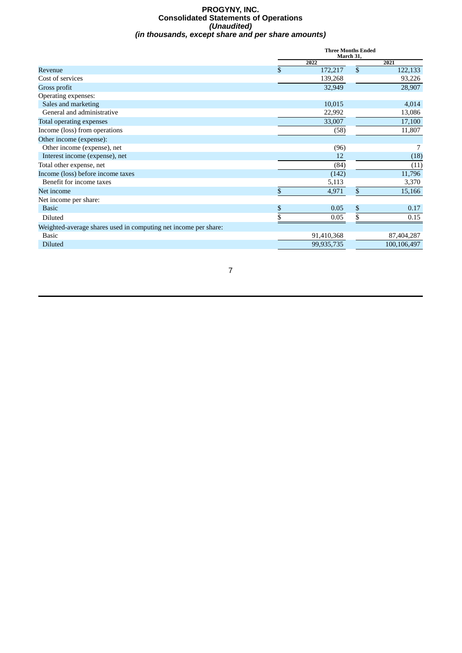#### **PROGYNY, INC. Consolidated Statements of Operations** *(Unaudited) (in thousands, except share and per share amounts)*

|                                                                 | <b>Three Months Ended</b><br>March 31, |              |             |  |
|-----------------------------------------------------------------|----------------------------------------|--------------|-------------|--|
|                                                                 | 2022                                   |              | 2021        |  |
| Revenue                                                         | \$<br>172,217                          | $\mathbb{S}$ | 122,133     |  |
| Cost of services                                                | 139,268                                |              | 93,226      |  |
| Gross profit                                                    | 32,949                                 |              | 28,907      |  |
| Operating expenses:                                             |                                        |              |             |  |
| Sales and marketing                                             | 10,015                                 |              | 4,014       |  |
| General and administrative                                      | 22,992                                 |              | 13,086      |  |
| Total operating expenses                                        | 33,007                                 |              | 17,100      |  |
| Income (loss) from operations                                   | (58)                                   |              | 11,807      |  |
| Other income (expense):                                         |                                        |              |             |  |
| Other income (expense), net                                     | (96)                                   |              |             |  |
| Interest income (expense), net                                  | 12                                     |              | (18)        |  |
| Total other expense, net                                        | (84)                                   |              | (11)        |  |
| Income (loss) before income taxes                               | (142)                                  |              | 11,796      |  |
| Benefit for income taxes                                        | 5,113                                  |              | 3,370       |  |
| Net income                                                      | \$<br>4,971                            | \$           | 15,166      |  |
| Net income per share:                                           |                                        |              |             |  |
| <b>Basic</b>                                                    | \$<br>0.05                             | \$           | 0.17        |  |
| <b>Diluted</b>                                                  | \$<br>0.05                             | \$           | 0.15        |  |
| Weighted-average shares used in computing net income per share: |                                        |              |             |  |
| Basic                                                           | 91,410,368                             |              | 87,404,287  |  |
| <b>Diluted</b>                                                  | 99,935,735                             |              | 100,106,497 |  |
|                                                                 |                                        |              |             |  |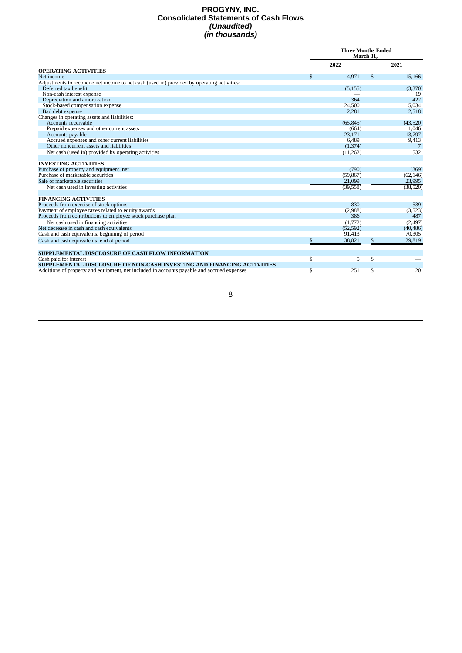#### **PROGYNY, INC. Consolidated Statements of Cash Flows** *(Unaudited) (in thousands)*

|                                                                                             | <b>Three Months Ended</b><br>March 31. |           |    |           |
|---------------------------------------------------------------------------------------------|----------------------------------------|-----------|----|-----------|
|                                                                                             |                                        | 2022      |    | 2021      |
| <b>OPERATING ACTIVITIES</b>                                                                 |                                        |           |    |           |
| Net income                                                                                  | S.                                     | 4,971     | S  | 15,166    |
| Adjustments to reconcile net income to net cash (used in) provided by operating activities: |                                        |           |    |           |
| Deferred tax benefit                                                                        |                                        | (5, 155)  |    | (3,370)   |
| Non-cash interest expense                                                                   |                                        |           |    | 19        |
| Depreciation and amortization                                                               |                                        | 364       |    | 422       |
| Stock-based compensation expense                                                            |                                        | 24,500    |    | 5,034     |
| Bad debt expense                                                                            |                                        | 2,281     |    | 2,518     |
| Changes in operating assets and liabilities:                                                |                                        |           |    |           |
| Accounts receivable                                                                         |                                        | (65, 845) |    | (43,520)  |
| Prepaid expenses and other current assets                                                   |                                        | (664)     |    | 1,046     |
| Accounts payable                                                                            |                                        | 23,171    |    | 13,797    |
| Accrued expenses and other current liabilities<br>Other noncurrent assets and liabilities   |                                        | 6,489     |    | 9,413     |
|                                                                                             |                                        | (1, 374)  |    |           |
| Net cash (used in) provided by operating activities                                         |                                        | (11,262)  |    | 532       |
| <b>INVESTING ACTIVITIES</b>                                                                 |                                        |           |    |           |
| Purchase of property and equipment, net                                                     |                                        | (790)     |    | (369)     |
| Purchase of marketable securities                                                           |                                        | (59, 867) |    | (62, 146) |
| Sale of marketable securities                                                               |                                        | 21,099    |    | 23,995    |
| Net cash used in investing activities                                                       |                                        | (39, 558) |    | (38, 520) |
| <b>FINANCING ACTIVITIES</b>                                                                 |                                        |           |    |           |
| Proceeds from exercise of stock options                                                     |                                        | 830       |    | 539       |
| Payment of employee taxes related to equity awards                                          |                                        | (2,988)   |    | (3,523)   |
| Proceeds from contributions to employee stock purchase plan                                 |                                        | 386       |    | 487       |
| Net cash used in financing activities                                                       |                                        | (1,772)   |    | (2, 497)  |
| Net decrease in cash and cash equivalents                                                   |                                        | (52, 592) |    | (40, 486) |
| Cash and cash equivalents, beginning of period                                              |                                        | 91,413    |    | 70,305    |
| Cash and cash equivalents, end of period                                                    | \$                                     | 38,821    | \$ | 29,819    |
| SUPPLEMENTAL DISCLOSURE OF CASH FLOW INFORMATION                                            |                                        |           |    |           |
| Cash paid for interest                                                                      | \$                                     | 5         | \$ |           |
| SUPPLEMENTAL DISCLOSURE OF NON-CASH INVESTING AND FINANCING ACTIVITIES                      |                                        |           |    |           |
| Additions of property and equipment, net included in accounts payable and accrued expenses  | \$                                     | 251       | \$ | 20        |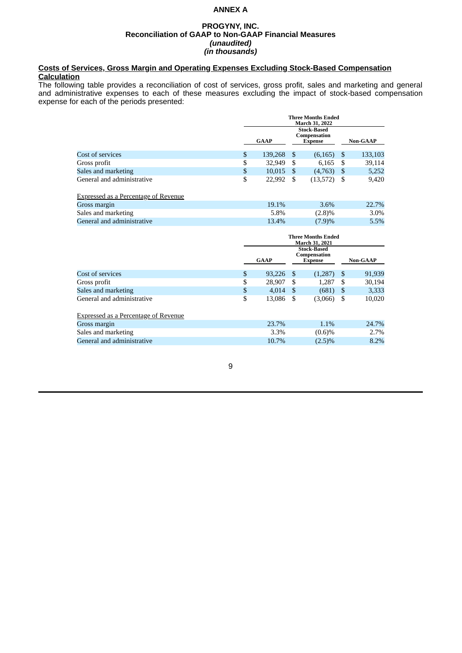## **ANNEX A**

#### **PROGYNY, INC. Reconciliation of GAAP to Non-GAAP Financial Measures** *(unaudited) (in thousands)*

### **Costs of Services, Gross Margin and Operating Expenses Excluding Stock-Based Compensation Calculation**

The following table provides a reconciliation of cost of services, gross profit, sales and marketing and general and administrative expenses to each of these measures excluding the impact of stock-based compensation expense for each of the periods presented:

|                            | <b>Three Months Ended</b><br>March 31, 2022                         |      |          |                 |         |
|----------------------------|---------------------------------------------------------------------|------|----------|-----------------|---------|
|                            | <b>Stock-Based</b><br>Compensation<br><b>GAAP</b><br><b>Expense</b> |      |          | <b>Non-GAAP</b> |         |
| Cost of services           | \$<br>139,268 \$                                                    |      | (6, 165) | - \$            | 133,103 |
| Gross profit               | \$<br>32,949                                                        | - \$ | 6,165    | - \$            | 39,114  |
| Sales and marketing        | \$<br>$10,015$ \$                                                   |      | (4,763)  | -\$             | 5,252   |
| General and administrative | \$<br>22,992                                                        | - \$ | (13,572) |                 | 9,420   |

| <b>Expressed as a Percentage of Revenue</b> |          |           |       |
|---------------------------------------------|----------|-----------|-------|
| Gross margin                                | 19.1%    | $3.6\%$   | 22.7% |
| Sales and marketing                         | 5.8%     | $(2.8)\%$ | 3.0%  |
| General and administrative                  | $13.4\%$ | (7.9)%    | 5.5%  |

|                                             | <b>Three Months Ended</b><br><b>March 31, 2021</b><br><b>Stock-Based</b><br>Compensation<br><b>GAAP</b><br><b>Expense</b> |        |    | <b>Non-GAAP</b> |               |        |
|---------------------------------------------|---------------------------------------------------------------------------------------------------------------------------|--------|----|-----------------|---------------|--------|
| Cost of services                            | \$                                                                                                                        | 93.226 | S  | (1, 287)        | <sup>\$</sup> | 91,939 |
| Gross profit                                | \$                                                                                                                        | 28,907 | \$ | 1,287           | S             | 30,194 |
| Sales and marketing                         | \$                                                                                                                        | 4.014  | S  | (681)           | \$            | 3,333  |
| General and administrative                  | \$                                                                                                                        | 13,086 | \$ | (3,066)         | S             | 10,020 |
| <b>Expressed as a Percentage of Revenue</b> |                                                                                                                           |        |    |                 |               |        |
| Gross margin                                |                                                                                                                           | 23.7%  |    | 1.1%            |               | 24.7%  |
| Sales and marketing                         |                                                                                                                           | 3.3%   |    | (0.6)%          |               | 2.7%   |
| General and administrative                  |                                                                                                                           | 10.7%  |    | $(2.5)\%$       |               | 8.2%   |